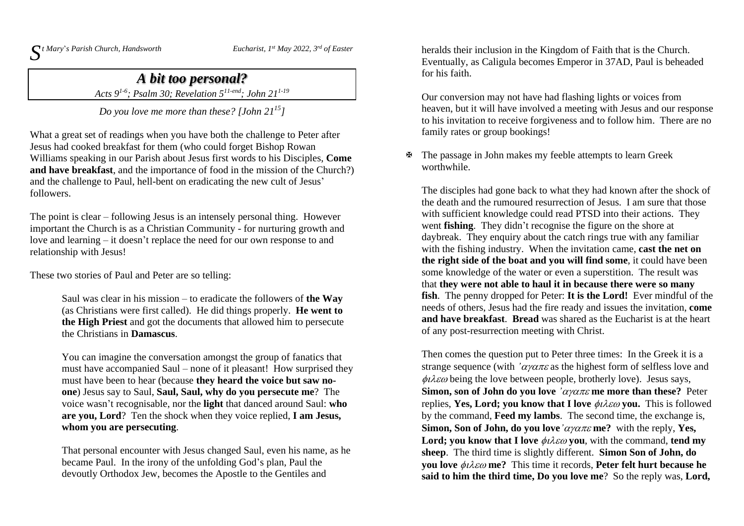$\int$ <sup>*t*</sup> *Mary*'*s Parish Church, <i>Handsworth Eucharist, 1* 

*st May 2022, 3 rd of Easter*

## *A bit too personal?*

*Acts 9 1-6 ; Psalm 30; Revelation 5 11-end; John 211-19*

*Do you love me more than these? [John 21 15]*

What a great set of readings when you have both the challenge to Peter after Jesus had cooked breakfast for them (who could forget Bishop Rowan Williams speaking in our Parish about Jesus first words to his Disciples, **Come and have breakfast**, and the importance of food in the mission of the Church?) and the challenge to Paul, hell-bent on eradicating the new cult of Jesus' followers.

The point is clear – following Jesus is an intensely personal thing. However important the Church is as a Christian Community - for nurturing growth and love and learning – it doesn't replace the need for our own response to and relationship with Jesus!

These two stories of Paul and Peter are so telling:

Saul was clear in his mission – to eradicate the followers of **the Way** (as Christians were first called). He did things properly. **He went to the High Priest** and got the documents that allowed him to persecute the Christians in **Damascus**.

You can imagine the conversation amongst the group of fanatics that must have accompanied Saul – none of it pleasant! How surprised they must have been to hear (because **they heard the voice but saw noone**) Jesus say to Saul, **Saul, Saul, why do you persecute me**? The voice wasn't recognisable, nor the **light** that danced around Saul: **who are you, Lord**? Ten the shock when they voice replied, **I am Jesus, whom you are persecuting**.

That personal encounter with Jesus changed Saul, even his name, as he became Paul. In the irony of the unfolding God's plan, Paul the devoutly Orthodox Jew, becomes the Apostle to the Gentiles and

heralds their inclusion in the Kingdom of Faith that is the Church. Eventually, as Caligula becomes Emperor in 37AD, Paul is beheaded for his faith.

Our conversion may not have had flashing lights or voices from heaven, but it will have involved a meeting with Jesus and our response to his invitation to receive forgiveness and to follow him. There are no family rates or group bookings!

 The passage in John makes my feeble attempts to learn Greek worthwhile.

The disciples had gone back to what they had known after the shock of the death and the rumoured resurrection of Jesus. I am sure that those with sufficient knowledge could read PTSD into their actions. They went **fishing**. They didn't recognise the figure on the shore at daybreak. They enquiry about the catch rings true with any familiar with the fishing industry. When the invitation came, **cast the net on the right side of the boat and you will find some**, it could have been some knowledge of the water or even a superstition. The result was that **they were not able to haul it in because there were so many fish**. The penny dropped for Peter: **It is the Lord!** Ever mindful of the needs of others, Jesus had the fire ready and issues the invitation, **come and have breakfast**. **Bread** was shared as the Eucharist is at the heart of any post-resurrection meeting with Christ.

Then comes the question put to Peter three times: In the Greek it is a strange sequence (with  $\alpha \gamma \alpha \pi \varepsilon$  as the highest form of selfless love and  $\phi \iota \lambda \varepsilon \omega$  being the love between people, brotherly love). Jesus says, **Simon, son** of **John** do you love  $'\alpha\gamma\alpha\pi\varepsilon$  me more than these? Peter replies, **Yes, Lord; you know that I love you.** This is followed by the command, **Feed my lambs**. The second time, the exchange is, **Simon, Son of John, do you love**  $\alpha$ *y* $\alpha$  $\pi$  $\epsilon$ **me?** with the reply, **Yes, Lord; you** know **that I** love  $\phi \iota \lambda \varepsilon \omega$  **you**, with the command, **tend my sheep**. The third time is slightly different. **Simon Son of John, do you love me?** This time it records, **Peter felt hurt because he said to him the third time, Do you love me**? So the reply was, **Lord,**